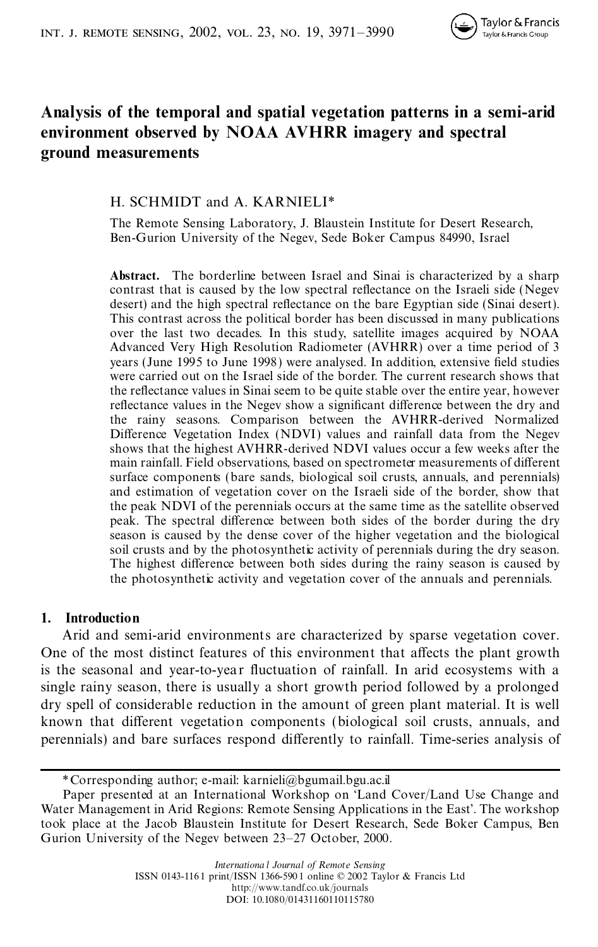# **Analysis of the temporal and spatial vegetation patterns in a semi-arid environment observed by NOAA AVHRR imagery and spectral ground measurements**

# H. SCHMIDT and A. KARNIELI\*

The Remote Sensing Laboratory, J. Blaustein Institute for Desert Research, Ben-Gurion University of the Negev, Sede Boker Campus 84990, Israel

**Abstract.** The borderline between Israel and Sinai is characterized by a sharp contrast that is caused by the low spectral reflectance on the Israeli side (Negev desert) and the high spectral reflectance on the bare Egyptian side (Sinai desert). This contrast across the political border has been discussed in many publications over the last two decades. In this study, satellite images acquired by NOAA Advanced Very High Resolution Radiometer (AVHRR) over a time period of 3 years (June 1995 to June 1998) were analysed. In addition, extensive field studies were carried out on the Israel side of the border. The current research shows that the reflectance values in Sinai seem to be quite stable over the entire year, however reflectance values in the Negev show a significant difference between the dry and the rainy seasons. Comparison between the AVHRR-derived Normalized Difference Vegetation Index (NDVI) values and rainfall data from the Negev shows that the highest AVHRR-derived NDVI values occur a few weeks after the main rainfall. Field observations, based on spectrometer measurements of different surface components (bare sands, biological soil crusts, annuals, and perennials) and estimation of vegetation cover on the Israeli side of the border, show that the peak NDVI of the perennials occurs at the same time as the satellite observed peak. The spectral difference between both sides of the border during the dry season is caused by the dense cover of the higher vegetation and the biological soil crusts and by the photosynthetic activity of perennials during the dry season. The highest difference between both sides during the rainy season is caused by the photosynthetic activity and vegetation cover of the annuals and perennials.

### **1. Introduction**

Arid and semi-arid environments are characterized by sparse vegetation cover. One of the most distinct features of this environment that affects the plant growth is the seasonal and year-to-year fluctuation of rainfall. In arid ecosystems with a single rainy season, there is usually a short growth period followed by a prolonged dry spell of considerable reduction in the amount of green plant material. It is well known that different vegetation components (biological soil crusts, annuals, and perennials) and bare surfaces respond differently to rainfall. Time-series analysis of

<sup>\*</sup>Corresponding author; e-mail: karnieli@bgumail.bgu.ac.il

Paper presented at an International Workshop on 'Land Cover/Land Use Change and Water Management in Arid Regions: Remote Sensing Applications in the East'. The workshop took place at the Jacob Blaustein Institute for Desert Research, Sede Boker Campus, Ben Gurion University of the Negev between 23–27 October, 2000.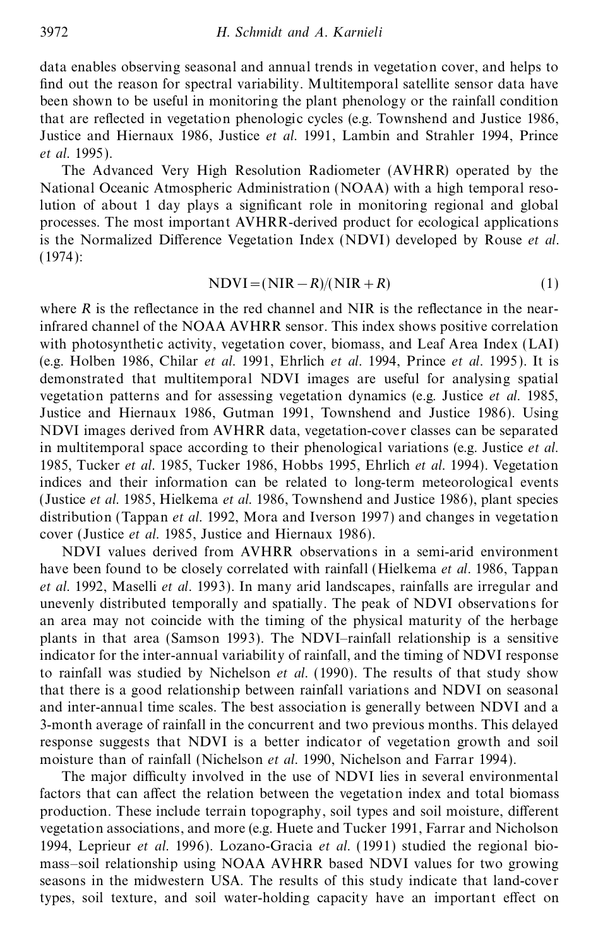data enables observing seasonal and annual trends in vegetation cover, and helps to find out the reason for spectral variability. Multitemporal satellite sensor data have been shown to be useful in monitoring the plant phenology or the rainfall condition that are reflected in vegetation phenologic cycles (e.g. Townshend and Justice 1986, Justice and Hiernaux 1986, Justice *et al*. 1991, Lambin and Strahler 1994, Prince *et al*. 1995).

The Advanced Very High Resolution Radiometer (AVHRR) operated by the National Oceanic Atmospheric Administration (NOAA) with a high temporal resolution of about 1 day plays a signicant role in monitoring regional and global processes. The most important AVHRR-derived product for ecological applications is the Normalized Difference Vegetation Index (NDVI) developed by Rouse *et al.* (1974):

$$
NDVI = (NIR - R)/(NIR + R)
$$
\n(1)

where  $R$  is the reflectance in the red channel and NIR is the reflectance in the nearinfrared channel of the NOAA AVHRR sensor. This index shows positive correlation with photosynthetic activity, vegetation cover, biomass, and Leaf Area Index (LAI) (e.g. Holben 1986, Chilar *et al.* 1991, Ehrlich *et al.* 1994, Prince *et al.* 1995). It is demonstrated that multitemporal NDVI images are useful for analysing spatial vegetation patterns and for assessing vegetation dynamics (e.g. Justice *et al.* 1985, Justice and Hiernaux 1986, Gutman 1991, Townshend and Justice 1986). Using NDVI images derived from AVHRR data, vegetation-cover classes can be separated in multitemporal space according to their phenological variations (e.g. Justice *et al*. 1985, Tucker *et al*. 1985, Tucker 1986, Hobbs 1995, Ehrlich *et al.* 1994). Vegetation indices and their information can be related to long-term meteorological events (Justice *et al.* 1985, Hielkema *et al.* 1986, Townshend and Justice 1986), plant species distribution (Tappan *et al*. 1992, Mora and Iverson 1997) and changes in vegetation cover (Justice *et al*. 1985, Justice and Hiernaux 1986).

NDVI values derived from AVHRR observations in a semi-arid environment have been found to be closely correlated with rainfall (Hielkema *et al*. 1986, Tappan *et al*. 1992, Maselli *et al*. 1993). In many arid landscapes, rainfalls are irregular and unevenly distributed temporally and spatially. The peak of NDVI observations for an area may not coincide with the timing of the physical maturity of the herbage plants in that area (Samson 1993). The NDVI–rainfall relationship is a sensitive indicator for the inter-annual variability of rainfall, and the timing of NDVI response to rainfall was studied by Nichelson *et al*. (1990). The results of that study show that there is a good relationship between rainfall variations and NDVI on seasonal and inter-annual time scales. The best association is generally between NDVI and a 3-month average of rainfall in the concurrent and two previous months. This delayed response suggests that NDVI is a better indicator of vegetation growth and soil moisture than of rainfall (Nichelson *et al*. 1990, Nichelson and Farrar 1994).

The major difficulty involved in the use of NDVI lies in several environmental factors that can affect the relation between the vegetation index and total biomass production. These include terrain topography, soil types and soil moisture, different vegetation associations, and more (e.g. Huete and Tucker 1991, Farrar and Nicholson 1994, Leprieur *et al*. 1996). Lozano-Gracia *et al*. (1991) studied the regional biomass–soil relationship using NOAA AVHRR based NDVI values for two growing seasons in the midwestern USA. The results of this study indicate that land-cover types, soil texture, and soil water-holding capacity have an important effect on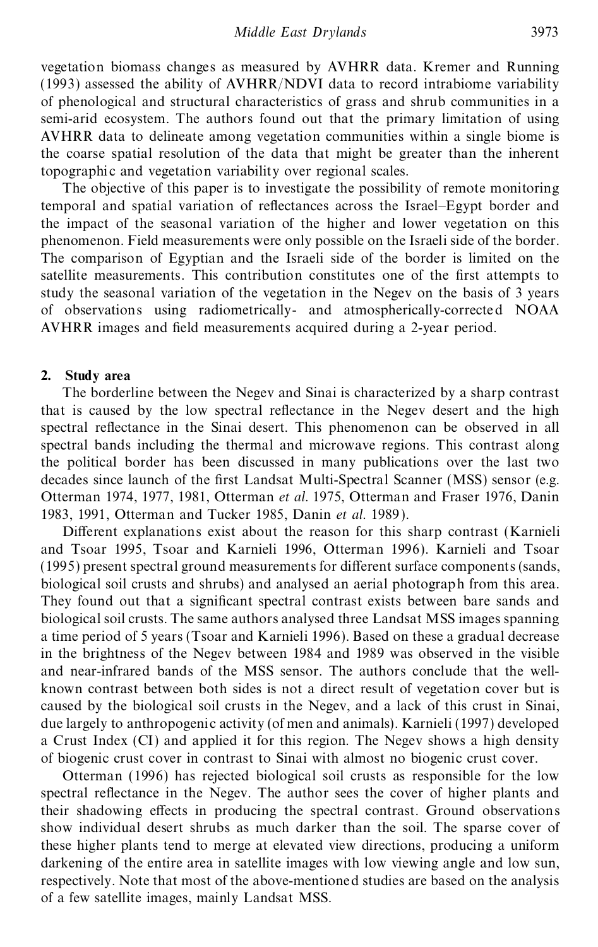vegetation biomass changes as measured by AVHRR data. Kremer and Running (1993) assessed the ability of AVHRR/NDVI data to record intrabiome variability of phenological and structural characteristics of grass and shrub communities in a semi-arid ecosystem. The authors found out that the primary limitation of using AVHRR data to delineate among vegetation communities within a single biome is the coarse spatial resolution of the data that might be greater than the inherent topographic and vegetation variability over regional scales.

The objective of this paper is to investigate the possibility of remote monitoring temporal and spatial variation of reflectances across the Israel–Egypt border and the impact of the seasonal variation of the higher and lower vegetation on this phenomenon. Field measurements were only possible on the Israeli side of the border. The comparison of Egyptian and the Israeli side of the border is limited on the satellite measurements. This contribution constitutes one of the first attempts to study the seasonal variation of the vegetation in the Negev on the basis of 3 years of observations using radiometrically- and atmospherically-corrected NOAA AVHRR images and field measurements acquired during a 2-year period.

# **2. Study area**

The borderline between the Negev and Sinai is characterized by a sharp contrast that is caused by the low spectral reflectance in the Negev desert and the high spectral reflectance in the Sinai desert. This phenomenon can be observed in all spectral bands including the thermal and microwave regions. This contrast along the political border has been discussed in many publications over the last two decades since launch of the first Landsat Multi-Spectral Scanner (MSS) sensor (e.g. Otterman 1974, 1977, 1981, Otterman *et al*. 1975, Otterman and Fraser 1976, Danin 1983, 1991, Otterman and Tucker 1985, Danin *et al*. 1989).

Different explanations exist about the reason for this sharp contrast (Karnieli and Tsoar 1995, Tsoar and Karnieli 1996, Otterman 1996). Karnieli and Tsoar (1995) present spectral ground measurements for different surface components (sands, biological soil crusts and shrubs) and analysed an aerial photograph from this area. They found out that a significant spectral contrast exists between bare sands and biological soil crusts. The same authors analysed three Landsat MSS images spanning a time period of 5 years (Tsoar and Karnieli 1996). Based on these a gradual decrease in the brightness of the Negev between 1984 and 1989 was observed in the visible and near-infrared bands of the MSS sensor. The authors conclude that the wellknown contrast between both sides is not a direct result of vegetation cover but is caused by the biological soil crusts in the Negev, and a lack of this crust in Sinai, due largely to anthropogenic activity (of men and animals). Karnieli (1997) developed a Crust Index (CI) and applied it for this region. The Negev shows a high density of biogenic crust cover in contrast to Sinai with almost no biogenic crust cover.

Otterman (1996) has rejected biological soil crusts as responsible for the low spectral reflectance in the Negev. The author sees the cover of higher plants and their shadowing effects in producing the spectral contrast. Ground observations show individual desert shrubs as much darker than the soil. The sparse cover of these higher plants tend to merge at elevated view directions, producing a uniform darkening of the entire area in satellite images with low viewing angle and low sun, respectively. Note that most of the above-mentioned studies are based on the analysis of a few satellite images, mainly Landsat MSS.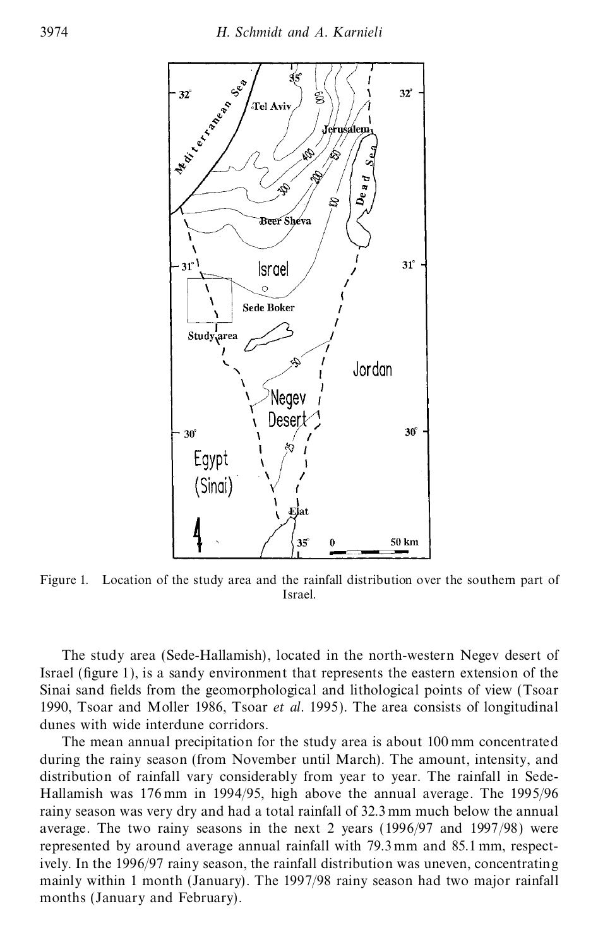

Figure 1. Location of the study area and the rainfall distribution over the southern part of Israel.

The study area (Sede-Hallamish), located in the north-western Negev desert of Israel (figure 1), is a sandy environment that represents the eastern extension of the Sinai sand fields from the geomorphological and lithological points of view (Tsoar 1990, Tsoar and Moller 1986, Tsoar *et al*. 1995). The area consists of longitudinal dunes with wide interdune corridors.

The mean annual precipitation for the study area is about 100 mm concentrated during the rainy season (from November until March). The amount, intensity, and distribution of rainfall vary considerably from year to year. The rainfall in Sede-Hallamish was 176 mm in 1994/95, high above the annual average. The 1995/96 rainy season was very dry and had a total rainfall of 32.3 mm much below the annual average. The two rainy seasons in the next 2 years (1996/97 and 1997/98) were represented by around average annual rainfall with 79.3 mm and 85.1 mm, respectively. In the 1996/97 rainy season, the rainfall distribution was uneven, concentrating mainly within 1 month (January). The 1997/98 rainy season had two major rainfall months (January and February).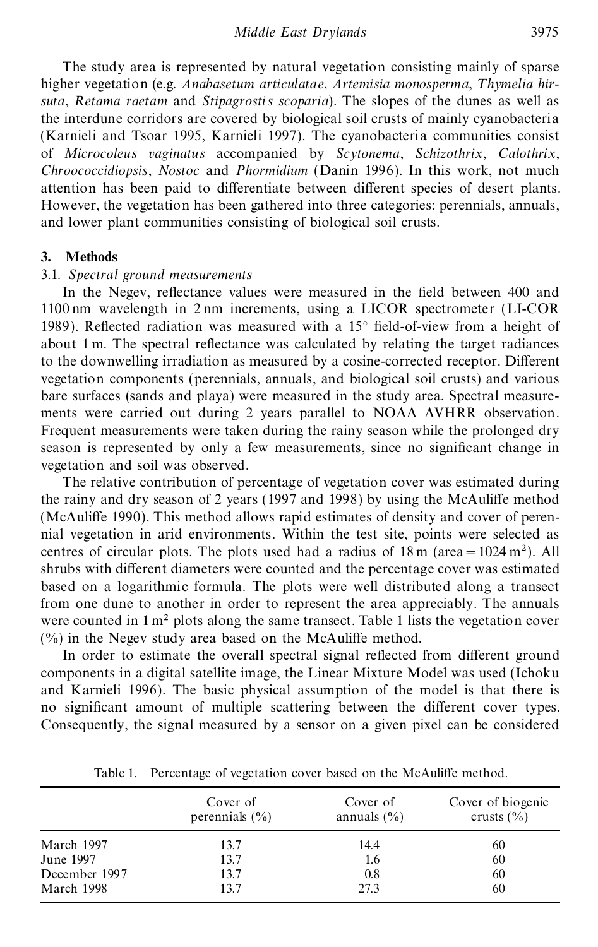The study area is represented by natural vegetation consisting mainly of sparse higher vegetation (e.g. Anabasetum articulatae, Artemisia monosperma, Thymelia hir*suta*, *Retama raetam* and *Stipagrostis scoparia*). The slopes of the dunes as well as the interdune corridors are covered by biological soil crusts of mainly cyanobacteria (Karnieli and Tsoar 1995, Karnieli 1997). The cyanobacteria communities consist of *Microcoleus vaginatus* accompanied by *Scytonema*, *Schizothrix*, *Calothrix*, *Chroococcidiopsis*, *Nostoc* and *Phormidium* (Danin 1996). In this work, not much attention has been paid to differentiate between different species of desert plants. However, the vegetation has been gathered into three categories: perennials, annuals, and lower plant communities consisting of biological soil crusts.

### **3. Methods**

## 3.1. *Spectral ground measurements*

In the Negev, reflectance values were measured in the field between 400 and 1100 nm wavelength in 2 nm increments, using a LICOR spectrometer (LI-COR 1989). Reflected radiation was measured with a  $15^{\circ}$  field-of-view from a height of about 1 m. The spectral reflectance was calculated by relating the target radiances to the downwelling irradiation as measured by a cosine-corrected receptor. Different vegetation components (perennials, annuals, and biological soil crusts) and various bare surfaces (sands and playa) were measured in the study area. Spectral measurements were carried out during 2 years parallel to NOAA AVHRR observation. Frequent measurements were taken during the rainy season while the prolonged dry season is represented by only a few measurements, since no significant change in vegetation and soil was observed.

The relative contribution of percentage of vegetation cover was estimated during the rainy and dry season of 2 years (1997 and 1998) by using the McAuliffe method (McAuliffe 1990). This method allows rapid estimates of density and cover of perennial vegetation in arid environments. Within the test site, points were selected as centres of circular plots. The plots used had a radius of  $18 \text{ m}$  (area =  $1024 \text{ m}^2$ ). All shrubs with different diameters were counted and the percentage cover was estimated based on a logarithmic formula. The plots were well distributed along a transect from one dune to another in order to represent the area appreciably. The annuals were counted in  $1 \text{ m}^2$  plots along the same transect. Table 1 lists the vegetation cover  $(\%)$  in the Negev study area based on the McAuliffe method.

In order to estimate the overall spectral signal reflected from different ground components in a digital satellite image, the Linear Mixture Model was used (Ichoku and Karnieli 1996). The basic physical assumption of the model is that there is no significant amount of multiple scattering between the different cover types. Consequently, the signal measured by a sensor on a given pixel can be considered

|               | Cover of<br>perennials $(\% )$ | Cover of<br>annuals $(\% )$ | Cover of biogenic<br>crusts $(\% )$ |
|---------------|--------------------------------|-----------------------------|-------------------------------------|
| March 1997    | 13.7                           | 14.4                        | 60                                  |
| June 1997     | 13.7                           | 1.6                         | 60                                  |
| December 1997 | 13.7                           | 0.8                         | 60                                  |
| March 1998    | 13.7                           | 27.3                        | 60                                  |

Table 1. Percentage of vegetation cover based on the McAuliffe method.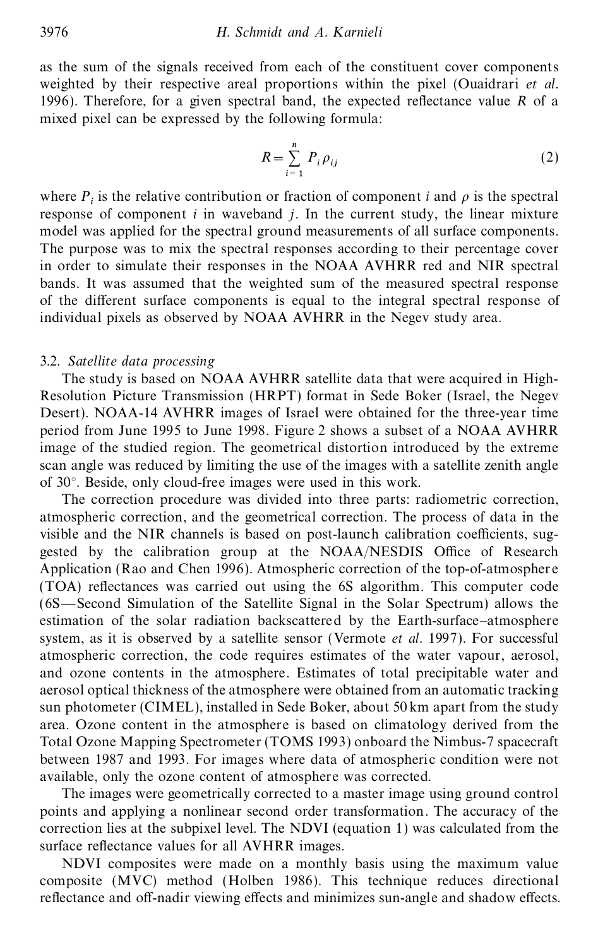as the sum of the signals received from each of the constituent cover components weighted by their respective areal proportions within the pixel (Ouaidrari *et al*. 1996). Therefore, for a given spectral band, the expected reflectance value  $R$  of a mixed pixel can be expressed by the following formula:

$$
R = \sum_{i=1}^{n} P_i \rho_{ij} \tag{2}
$$

where  $P_i$  is the relative contribution or fraction of component *i* and  $\rho$  is the spectral where  $r_i$  is the relative contribution of fraction of component *i* and *p* is the spectral response of component *i* in waveband *j*. In the current study, the linear mixture model was applied for the spectral ground measurements of all surface components. The purpose was to mix the spectral responses according to their percentage cover in order to simulate their responses in the NOAA AVHRR red and NIR spectral bands. It was assumed that the weighted sum of the measured spectral response of the different surface components is equal to the integral spectral response of individual pixels as observed by NOAA AVHRR in the Negev study area.

#### 3.2. *Satellite data processing*

The study is based on NOAA AVHRR satellite data that were acquired in High-Resolution Picture Transmission (HRPT) format in Sede Boker (Israel, the Negev Desert). NOAA-14 AVHRR images of Israel were obtained for the three-year time period from June 1995 to June 1998. Figure 2 shows a subset of a NOAA AVHRR image of the studied region. The geometrical distortion introduced by the extreme scan angle was reduced by limiting the use of the images with a satellite zenith angle of 30°. Beside, only cloud-free images were used in this work.

The correction procedure was divided into three parts: radiometric correction, atmospheric correction, and the geometrical correction. The process of data in the visible and the NIR channels is based on post-launch calibration coefficients, suggested by the calibration group at the NOAA/NESDIS Office of Research Application (Rao and Chen 1996). Atmospheric correction of the top-of-atmosphere (TOA) reflectances was carried out using the 6S algorithm. This computer code (6S—Second Simulation of the Satellite Signal in the Solar Spectrum) allows the estimation of the solar radiation backscattered by the Earth-surface–atmosphere system, as it is observed by a satellite sensor (Vermote *et al.* 1997). For successful atmospheric correction, the code requires estimates of the water vapour, aerosol, and ozone contents in the atmosphere. Estimates of total precipitable water and aerosol optical thickness of the atmosphere were obtained from an automatic tracking sun photometer (CIMEL), installed in Sede Boker, about 50 km apart from the study area. Ozone content in the atmosphere is based on climatology derived from the Total Ozone Mapping Spectrometer (TOMS 1993) onboard the Nimbus-7 spacecraft between 1987 and 1993. For images where data of atmospheric condition were not available, only the ozone content of atmosphere was corrected.

The images were geometrically corrected to a master image using ground control points and applying a nonlinear second order transformation. The accuracy of the correction lies at the subpixel level. The NDVI (equation 1) was calculated from the surface reflectance values for all AVHRR images.

NDVI composites were made on a monthly basis using the maximum value composite (MVC) method (Holben 1986). This technique reduces directional reflectance and off-nadir viewing effects and minimizes sun-angle and shadow effects.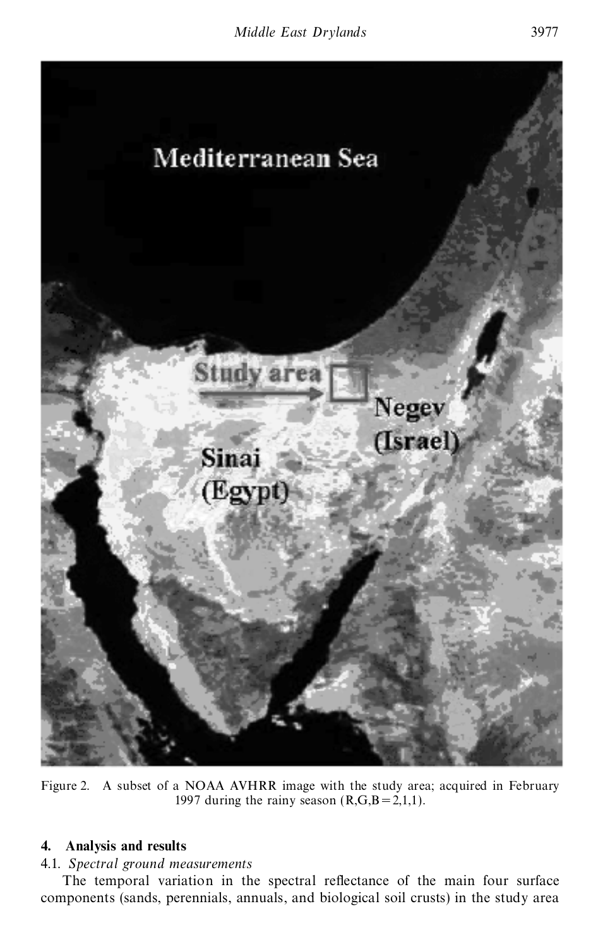

Figure 2. A subset of a NOAA AVHRR image with the study area; acquired in February 1997 during the rainy season  $(R,G,B=2,1,1)$ .

# **4. Analysis and results**

# 4.1. *Spectral ground measurements*

The temporal variation in the spectral reflectance of the main four surface components (sands, perennials, annuals, and biological soil crusts) in the study area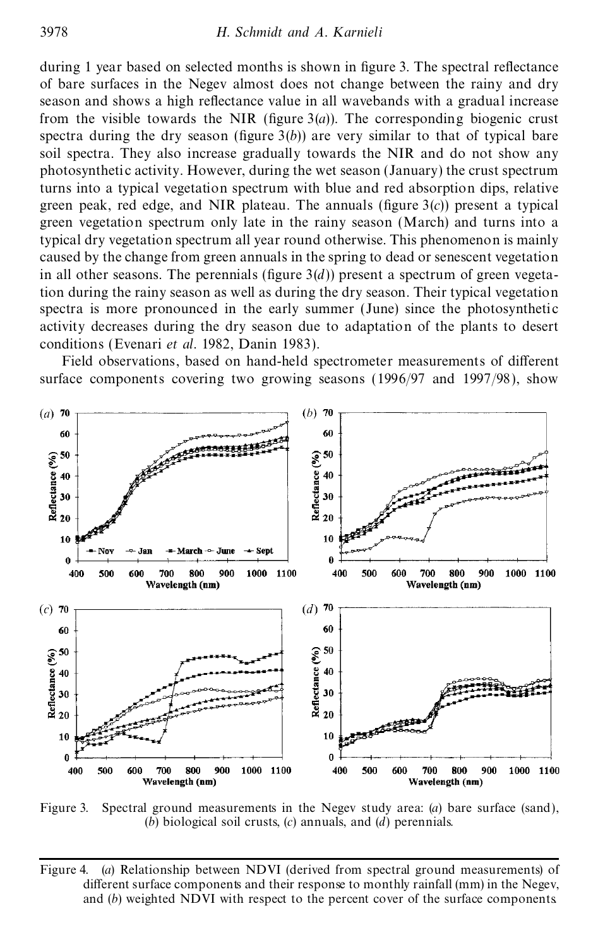during 1 year based on selected months is shown in figure 3. The spectral reflectance of bare surfaces in the Negev almost does not change between the rainy and dry season and shows a high reflectance value in all wavebands with a gradual increase from the visible towards the NIR (figure  $3(a)$ ). The corresponding biogenic crust spectra during the dry season (figure  $3(b)$ ) are very similar to that of typical bare soil spectra. They also increase gradually towards the NIR and do not show any photosynthetic activity. However, during the wet season (January) the crust spectrum turns into a typical vegetation spectrum with blue and red absorption dips, relative green peak, red edge, and NIR plateau. The annuals (figure  $3(c)$ ) present a typical green vegetation spectrum only late in the rainy season (March) and turns into a typical dry vegetation spectrum all year round otherwise. This phenomenon is mainly caused by the change from green annuals in the spring to dead or senescent vegetation in all other seasons. The perennials (figure  $3(d)$ ) present a spectrum of green vegetation during the rainy season as well as during the dry season. Their typical vegetation spectra is more pronounced in the early summer (June) since the photosynthetic activity decreases during the dry season due to adaptation of the plants to desert conditions (Evenari *et al*. 1982, Danin 1983).

Field observations, based on hand-held spectrometer measurements of different surface components covering two growing seasons (1996/97 and 1997/98), show



Figure 3. Spectral ground measurements in the Negev study area: (*a*) bare surface (sand), (*b*) biological soil crusts, (*c*) annuals, and (*d*) perennials.

Figure 4. (*a*) Relationship between NDVI (derived from spectral ground measurements) of different surface components and their response to monthly rainfall  $(mm)$  in the Negev, and (*b*) weighted NDVI with respect to the percent cover of the surface components.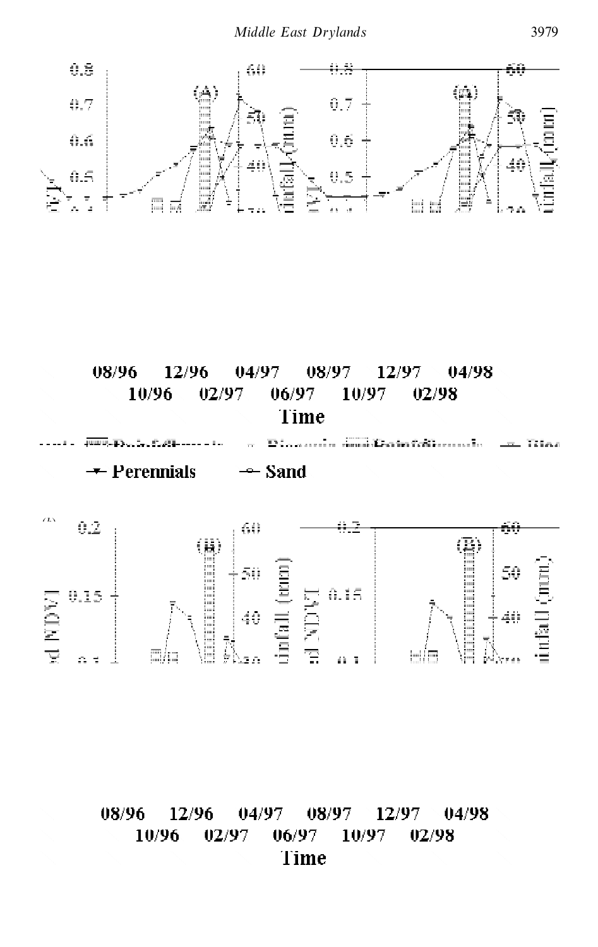$\equiv$   $\equiv$   $\equiv$ 

 $\overline{\phantom{0}}$ 

 $\overline{\phantom{a}}$ 

 $\equiv$ 

 $\equiv$ 

 $\equiv$ 

Ŷ,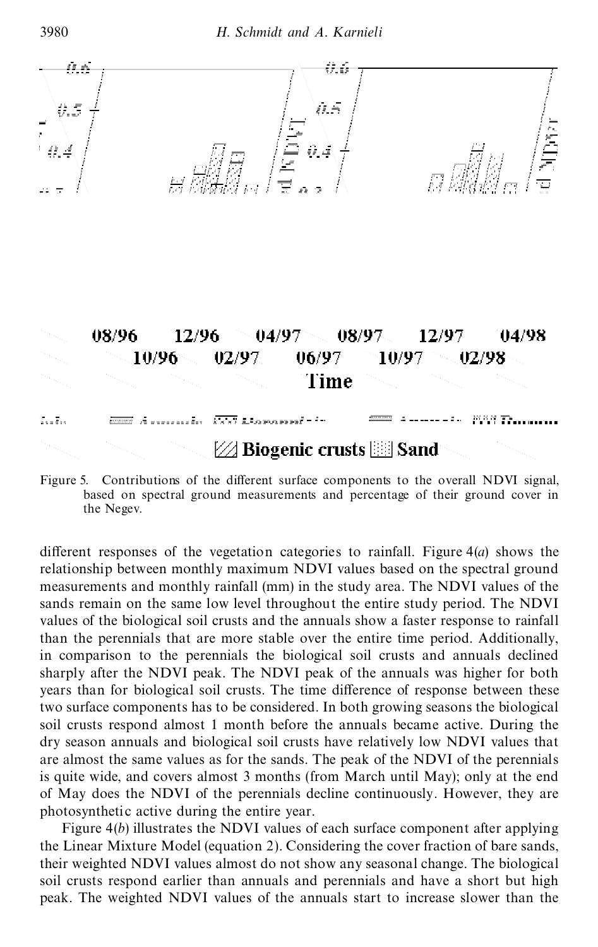$\overline{1}$   $\frac{1}{2}$ 

 $\frac{1}{1-\frac{1}{1-\frac{1}{1-\frac{1}{1-\frac{1}{1-\frac{1}{1-\frac{1}{1-\frac{1}{1-\frac{1}{1-\frac{1}{1-\frac{1}{1-\frac{1}{1-\frac{1}{1-\frac{1}{1-\frac{1}{1-\frac{1}{1-\frac{1}{1-\frac{1}{1-\frac{1}{1-\frac{1}{1-\frac{1}{1-\frac{1}{1-\frac{1}{1-\frac{1}{1-\frac{1}{1-\frac{1}{1-\frac{1}{1-\frac{1}{1-\frac{1}{1-\frac{1}{1-\frac{1}{1-\frac{1}{1-\frac{1}{1-\frac{1}{1-\frac{1}{1-\frac{1}{1-\frac{1$ 

 $\equiv$ 

 $\Box$ 

- - -

 $\mathcal{L}_{\rm{max}}$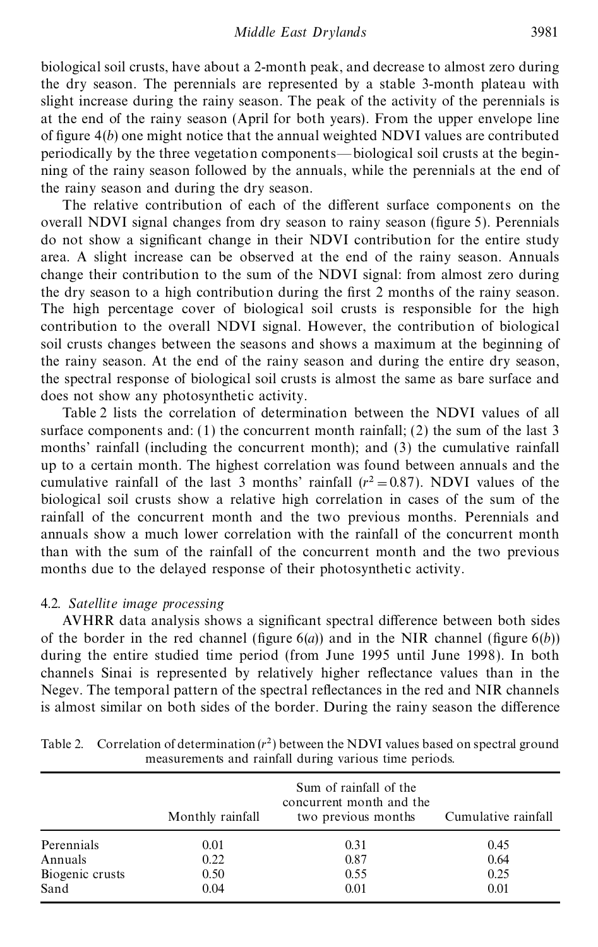biological soil crusts, have about a 2-month peak, and decrease to almost zero during the dry season. The perennials are represented by a stable 3-month plateau with slight increase during the rainy season. The peak of the activity of the perennials is at the end of the rainy season (April for both years). From the upper envelope line of figure  $4(b)$  one might notice that the annual weighted NDVI values are contributed periodically by the three vegetation components—biological soil crusts at the beginning of the rainy season followed by the annuals, while the perennials at the end of the rainy season and during the dry season.

The relative contribution of each of the different surface components on the overall NDVI signal changes from dry season to rainy season (figure 5). Perennials do not show a signicant change in their NDVI contribution for the entire study area. A slight increase can be observed at the end of the rainy season. Annuals change their contribution to the sum of the NDVI signal: from almost zero during the dry season to a high contribution during the first 2 months of the rainy season. The high percentage cover of biological soil crusts is responsible for the high contribution to the overall NDVI signal. However, the contribution of biological soil crusts changes between the seasons and shows a maximum at the beginning of the rainy season. At the end of the rainy season and during the entire dry season, the spectral response of biological soil crusts is almost the same as bare surface and does not show any photosynthetic activity.

Table 2 lists the correlation of determination between the NDVI values of all surface components and: (1) the concurrent month rainfall; (2) the sum of the last 3 months' rainfall (including the concurrent month); and (3) the cumulative rainfall up to a certain month. The highest correlation was found between annuals and the cumulative rainfall of the last 3 months' rainfall  $(r^2 = 0.87)$ . NDVI values of the biological soil crusts show a relative high correlation in cases of the sum of the rainfall of the concurrent month and the two previous months. Perennials and annuals show a much lower correlation with the rainfall of the concurrent month than with the sum of the rainfall of the concurrent month and the two previous months due to the delayed response of their photosynthetic activity.

#### 4.2. *Satellite image processing*

AVHRR data analysis shows a significant spectral difference between both sides of the border in the red channel (figure  $6(a)$ ) and in the NIR channel (figure  $6(b)$ ) during the entire studied time period (from June 1995 until June 1998). In both channels Sinai is represented by relatively higher reflectance values than in the Negev. The temporal pattern of the spectral reflectances in the red and NIR channels is almost similar on both sides of the border. During the rainy season the difference

|                 | Monthly rainfall | Sum of rainfall of the<br>concurrent month and the<br>two previous months | Cumulative rainfall |
|-----------------|------------------|---------------------------------------------------------------------------|---------------------|
| Perennials      | 0.01             | 0.31                                                                      | 0.45                |
| Annuals         | 0.22             | 0.87                                                                      | 0.64                |
| Biogenic crusts | 0.50             | 0.55                                                                      | 0.25                |
| Sand            | 0.04             | 0.01                                                                      | 0.01                |

Table 2. Correlation of determination  $(r^2)$  between the NDVI values based on spectral ground measurements and rainfall during various time periods.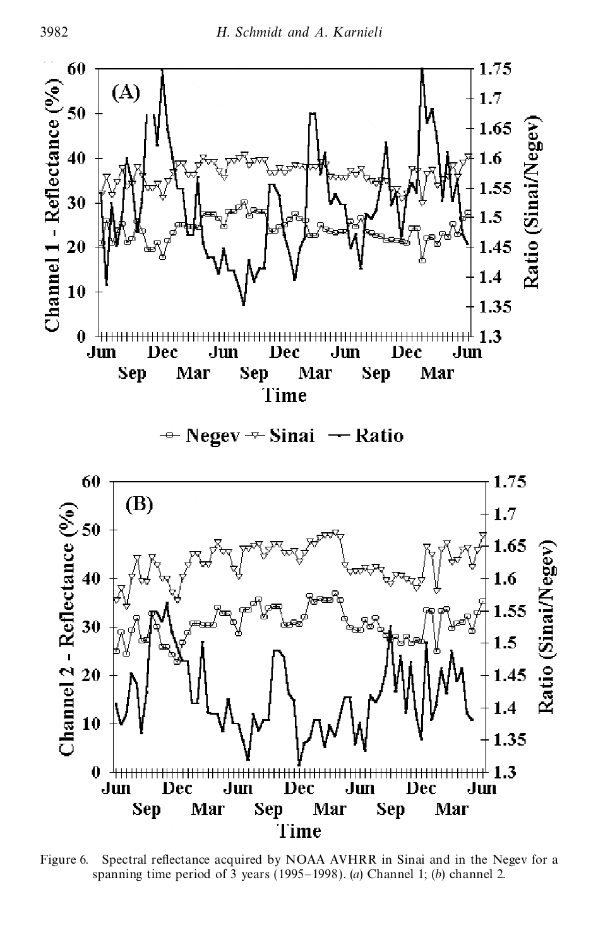ਮਾਂ ਪਤੀ <mark>ਦਾ ਦੌਰਾ ਪਾਰਟੀ ਦਾ ਦਾ</mark>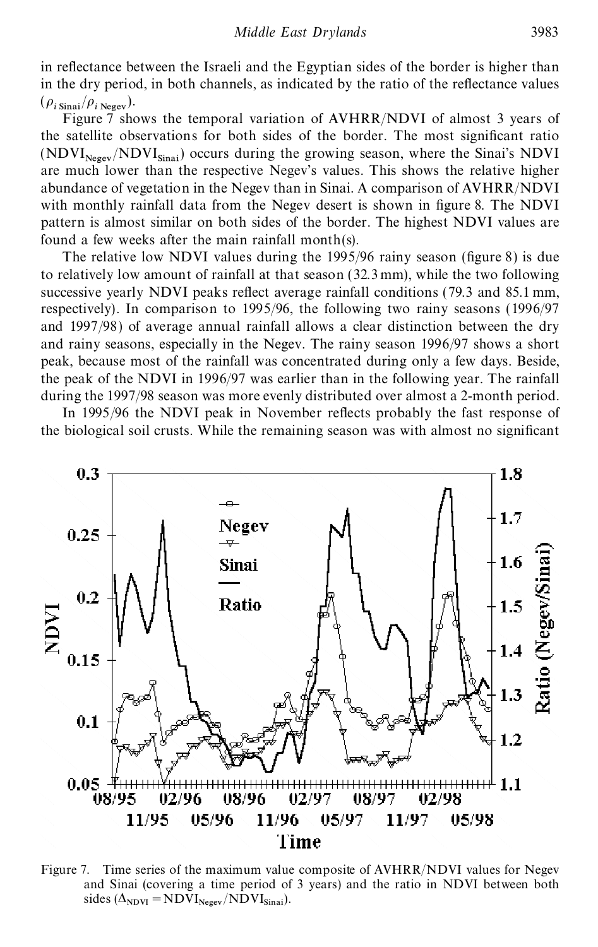in reflectance between the Israeli and the Egyptian sides of the border is higher than in the dry period, in both channels, as indicated by the ratio of the reflectance values  $(\rho_{i \text{ Sinai}}/\rho_{i \text{ Neger}}).$ 

Figure 7 shows the temporal variation of AVHRR/NDVI of almost 3 years of the satellite observations for both sides of the border. The most significant ratio  $(NDVI<sub>Negev</sub>/NDVI<sub>Sinai</sub>)$  occurs during the growing season, where the Sinai's NDVI are much lower than the respective Negev's values. This shows the relative higher abundance of vegetation in the Negev than in Sinai. A comparison of AVHRR/NDVI with monthly rainfall data from the Negev desert is shown in figure 8. The NDVI pattern is almost similar on both sides of the border. The highest NDVI values are found a few weeks after the main rainfall month(s).

The relative low NDVI values during the  $1995/96$  rainy season (figure 8) is due to relatively low amount of rainfall at that season (32.3 mm), while the two following successive yearly NDVI peaks reflect average rainfall conditions (79.3 and 85.1 mm, respectively). In comparison to 1995/96, the following two rainy seasons (1996/97 and 1997/98) of average annual rainfall allows a clear distinction between the dry and rainy seasons, especially in the Negev. The rainy season 1996/97 shows a short peak, because most of the rainfall was concentrated during only a few days. Beside, the peak of the NDVI in 1996/97 was earlier than in the following year. The rainfall during the 1997/98 season was more evenly distributed over almost a 2-month period.

In 1995/96 the NDVI peak in November reflects probably the fast response of the biological soil crusts. While the remaining season was with almost no signicant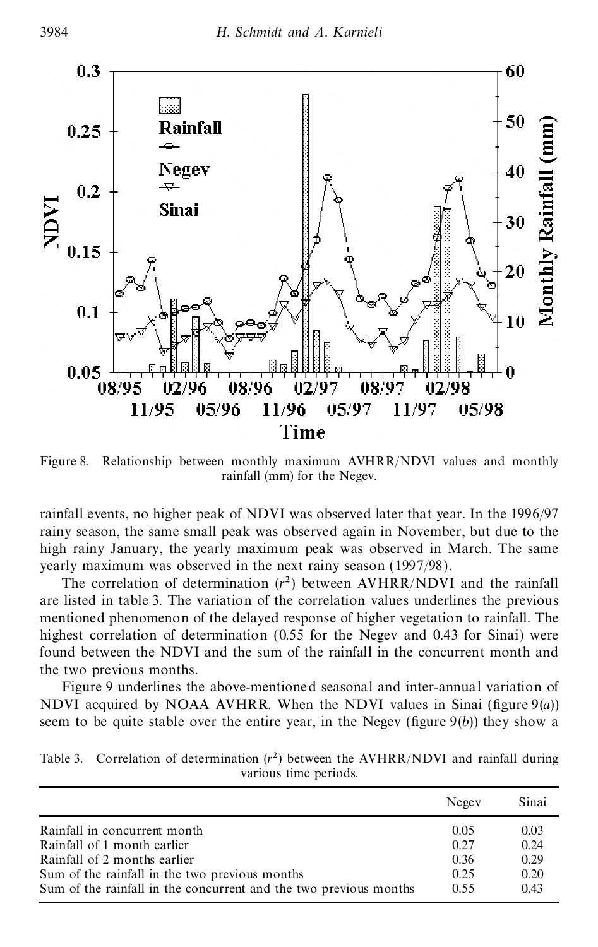$\equiv$   $\equiv$ 

 $\equiv$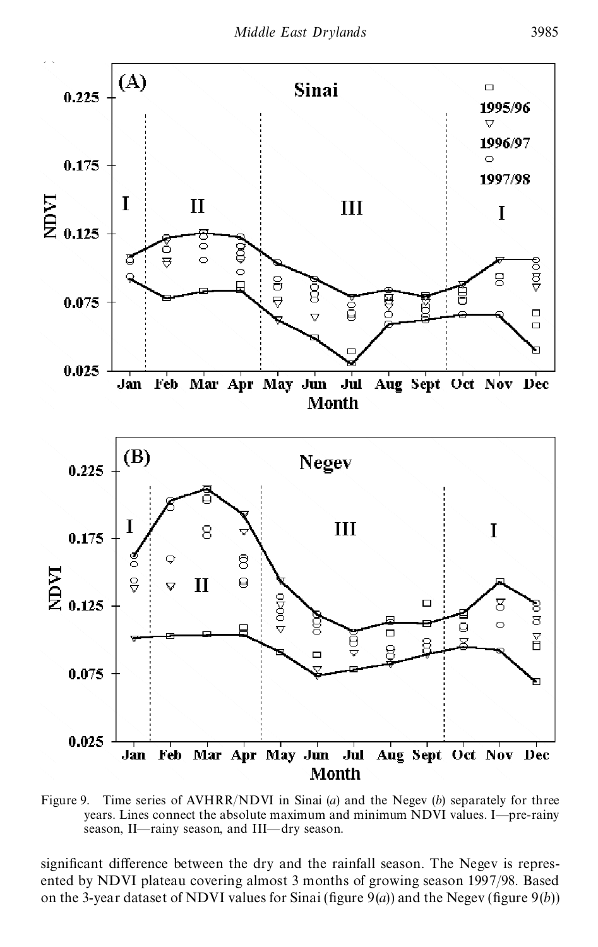L

 $\mathbb{R}^+$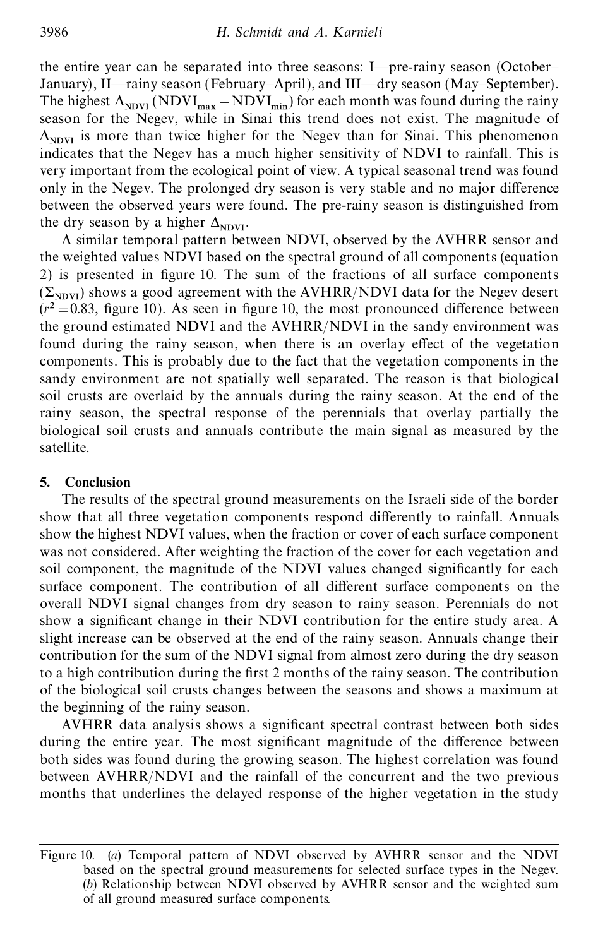the entire year can be separated into three seasons: I—pre-rainy season (October– January), II—rainy season (February–April), and III—dry season (May–September). The highest  $\Delta_{\text{NDVI}}$  (NDVI<sub>max</sub> – NDVI<sub>min</sub>) for each month was found during the rainy season for the Negev, while in Sinai this trend does not exist. The magnitude of  $\Delta_{\text{NDVI}}$  is more than twice higher for the Negev than for Sinai. This phenomenon indicates that the Negev has a much higher sensitivity of NDVI to rainfall. This is very important from the ecological point of view. A typical seasonal trend was found only in the Negev. The prolonged dry season is very stable and no major difference between the observed years were found. The pre-rainy season is distinguished from the dry season by a higher  $\Delta_{NDVI}$ .

A similar temporal pattern between NDVI, observed by the AVHRR sensor and the weighted values NDVI based on the spectral ground of all components (equation 2) is presented in figure 10. The sum of the fractions of all surface components  $(\Sigma_{NDVI})$  shows a good agreement with the AVHRR/NDVI data for the Negev desert  $(r^2 = 0.83$ , figure 10). As seen in figure 10, the most pronounced difference between the ground estimated NDVI and the AVHRR/NDVI in the sandy environment was found during the rainy season, when there is an overlay effect of the vegetation components. This is probably due to the fact that the vegetation components in the sandy environment are not spatially well separated. The reason is that biological soil crusts are overlaid by the annuals during the rainy season. At the end of the rainy season, the spectral response of the perennials that overlay partially the biological soil crusts and annuals contribute the main signal as measured by the satellite.

### **5. Conclusion**

The results of the spectral ground measurements on the Israeli side of the border show that all three vegetation components respond differently to rainfall. Annuals show the highest NDVI values, when the fraction or cover of each surface component was not considered. After weighting the fraction of the cover for each vegetation and soil component, the magnitude of the NDVI values changed significantly for each surface component. The contribution of all different surface components on the overall NDVI signal changes from dry season to rainy season. Perennials do not show a significant change in their NDVI contribution for the entire study area. A slight increase can be observed at the end of the rainy season. Annuals change their contribution for the sum of the NDVI signal from almost zero during the dry season to a high contribution during the first 2 months of the rainy season. The contribution of the biological soil crusts changes between the seasons and shows a maximum at the beginning of the rainy season.

AVHRR data analysis shows a signicant spectral contrast between both sides during the entire year. The most significant magnitude of the difference between both sides was found during the growing season. The highest correlation was found between AVHRR/NDVI and the rainfall of the concurrent and the two previous months that underlines the delayed response of the higher vegetation in the study

Figure 10. (*a*) Temporal pattern of NDVI observed by AVHRR sensor and the NDVI based on the spectral ground measurements for selected surface types in the Negev. (*b*) Relationship between NDVI observed by AVHRR sensor and the weighted sum of all ground measured surface components.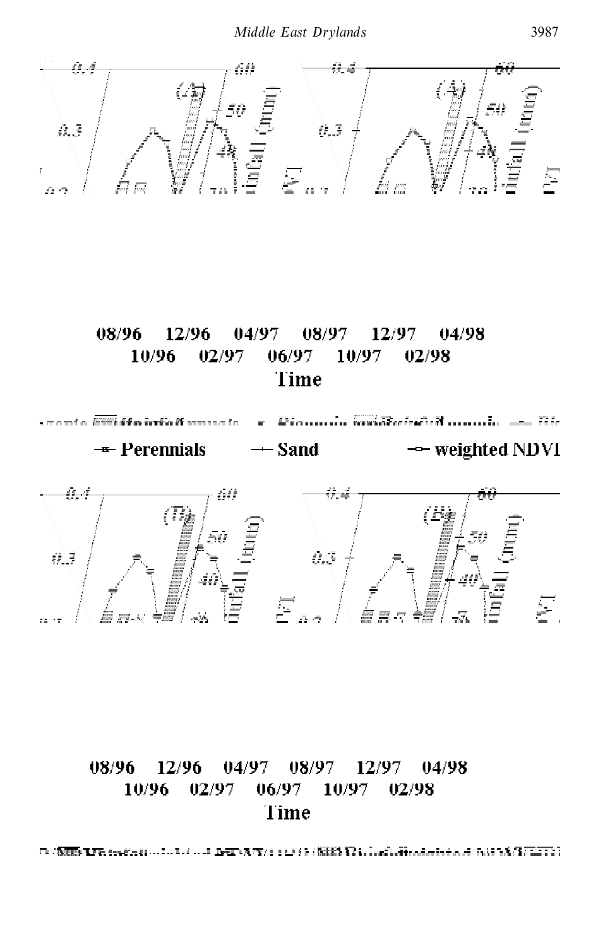二字字

 $\frac{1}{\sqrt{1-\frac{1}{2}}}$ 

 $=$ 

 $\equiv$  =

= — — =

 $\equiv$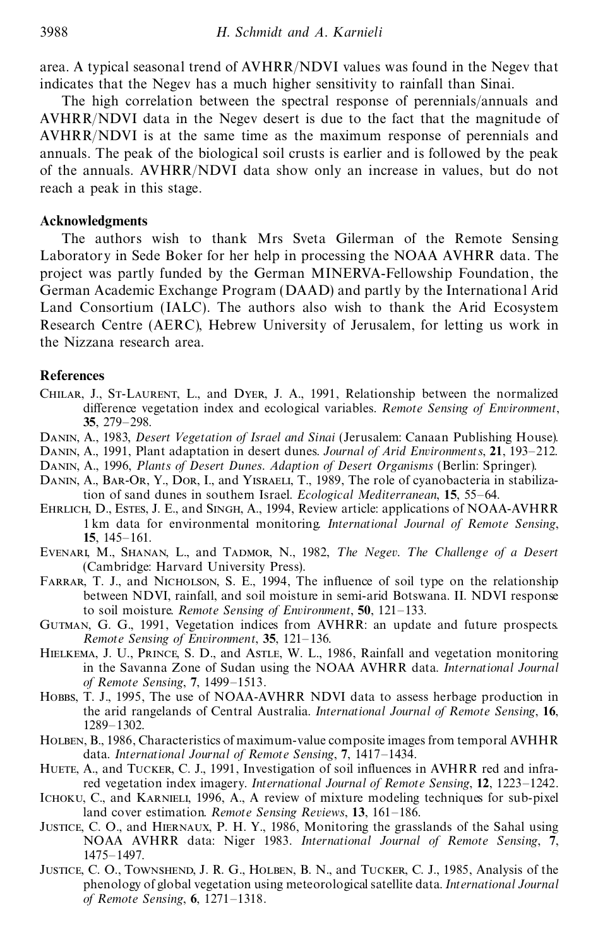area. A typical seasonal trend of AVHRR/NDVI values was found in the Negev that indicates that the Negev has a much higher sensitivity to rainfall than Sinai.

The high correlation between the spectral response of perennials/annuals and AVHRR/NDVI data in the Negev desert is due to the fact that the magnitude of AVHRR/NDVI is at the same time as the maximum response of perennials and annuals. The peak of the biological soil crusts is earlier and is followed by the peak of the annuals. AVHRR/NDVI data show only an increase in values, but do not reach a peak in this stage.

### **Acknowledgments**

The authors wish to thank Mrs Sveta Gilerman of the Remote Sensing Laboratory in Sede Boker for her help in processing the NOAA AVHRR data. The project was partly funded by the German MINERVA-Fellowship Foundation, the German Academic Exchange Program (DAAD) and partly by the International Arid Land Consortium (IALC). The authors also wish to thank the Arid Ecosystem Research Centre (AERC), Hebrew University of Jerusalem, for letting us work in the Nizzana research area.

#### **References**

- Chilar, J., St-Laurent, L., and Dyer, J. A., 1991, Relationship between the normalized difference vegetation index and ecological variables. *Remote Sensing of Environment*, **35**, 279–298.
- Danin, A., 1983, *Desert Vegetation of Israel and Sinai* (Jerusalem: Canaan Publishing House).
- Danin, A., 1991, Plant adaptation in desert dunes. *Journal of Arid Environments*, **21**, 193–212.
- Danin, A., 1996, *Plants of Desert Dunes. Adaption of Desert Organisms* (Berlin: Springer).
- DANIN, A., BAR-OR, Y., DOR, I., and YISRAELI, T., 1989, The role of cyanobacteria in stabilization of sand dunes in southern Israel. *Ecological Mediterranean*, **15**, 55–64.
- Ehrlich, D., Estes, J. E., and Singh, A., 1994, Review article: applications of NOAA-AVHRR 1 km data for environmental monitoring. *International Journal of Remote Sensing*, **15**, 145–161.
- EVENARI, M., SHANAN, L., and TADMOR, N., 1982, *The Negev. The Challenge of a Desert* (Cambridge: Harvard University Press).
- FARRAR, T. J., and NICHOLSON, S. E., 1994, The influence of soil type on the relationship between NDVI, rainfall, and soil moisture in semi-arid Botswana. II. NDVI response to soil moisture. *Remote Sensing of Environment*, **50**, 121–133.
- Gutman, G. G., 1991, Vegetation indices from AVHRR: an update and future prospects. *Remote Sensing of Environment*, **35**, 121–136.
- HIELKEMA, J. U., PRINCE, S. D., and ASTLE, W. L., 1986, Rainfall and vegetation monitoring in the Savanna Zone of Sudan using the NOAA AVHRR data. *International Journal of Remote Sensing*, **7**, 1499–1513.
- Hobbs, T. J., 1995, The use of NOAA-AVHRR NDVI data to assess herbage production in the arid rangelands of Central Australia. *International Journal of Remote Sensing*, **16**, 1289–1302.
- Holben, B., 1986, Characteristics of maximum-value composite images from temporal AVHHR data. *International Journal of Remote Sensing*, **7**, 1417–1434.
- HUETE, A., and TUCKER, C. J., 1991, Investigation of soil influences in AVHRR red and infrared vegetation index imagery. *International Journal of Remote Sensing*, **12**, 1223–1242.
- Ichoku, C., and Karnieli, 1996, A., A review of mixture modeling techniques for sub-pixel land cover estimation. *Remote Sensing Reviews*, **13**, 161–186.
- Justice, C. O., and Hiernaux, P. H. Y., 1986, Monitoring the grasslands of the Sahal using NOAA AVHRR data: Niger 1983. *International Journal of Remote Sensing*, **7**, 1475–1497.
- Justice, C. O., Townshend, J. R. G., Holben, B. N., and Tucker, C. J., 1985, Analysis of the phenology of global vegetation using meteorological satellite data. *International Journal of Remote Sensing*, **6**, 1271–1318.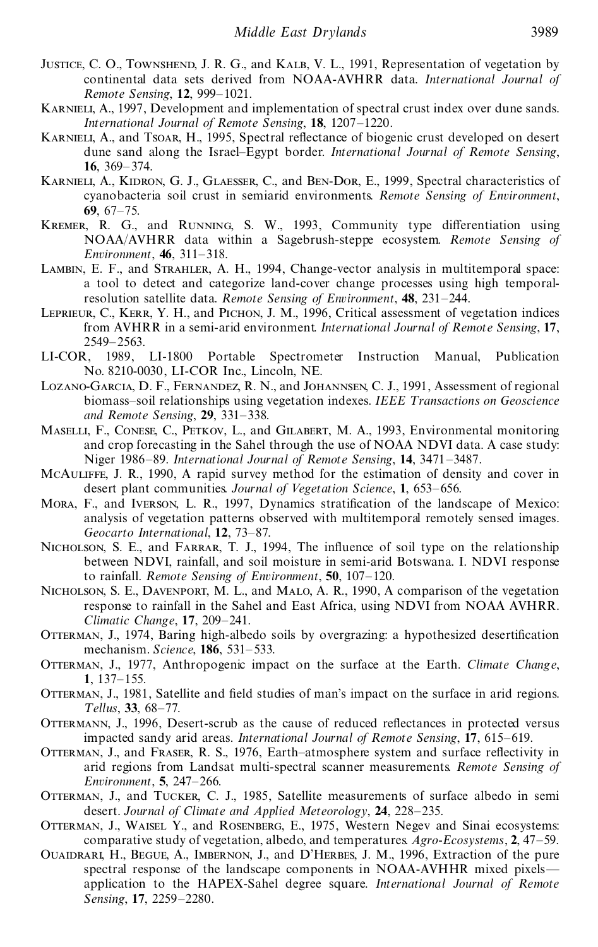- JUSTICE, C. O., TOWNSHEND, J. R. G., and KALB, V. L., 1991, Representation of vegetation by continental data sets derived from NOAA-AVHRR data. *International Journal of Remote Sensing*, **12**, 999–1021.
- KARNIELI, A., 1997, Development and implementation of spectral crust index over dune sands. *International Journal of Remote Sensing*, **18**, 1207–1220.
- KARNIELI, A., and TSOAR, H., 1995, Spectral reflectance of biogenic crust developed on desert dune sand along the Israel–Egypt border. *International Journal of Remote Sensing*, **16**, 369–374.
- Karnieli, A., Kidron, G. J., Glaesser, C., and Ben-Dor, E., 1999, Spectral characteristics of cyanobacteria soil crust in semiarid environments. *Remote Sensing of Environment*, **69**, 67–75.
- KREMER, R. G., and RUNNING, S. W., 1993, Community type differentiation using NOAA/AVHRR data within a Sagebrush-steppe ecosystem. *Remote Sensing of Environment*, **46**, 311–318.
- Lambin, E. F., and Strahler, A. H., 1994, Change-vector analysis in multitemporal space: a tool to detect and categorize land-cover change processes using high temporalresolution satellite data. *Remote Sensing of Environment*, **48**, 231–244.
- LEPRIEUR, C., KERR, Y. H., and PICHON, J. M., 1996, Critical assessment of vegetation indices from AVHRR in a semi-arid environment. *International Journal of Remote Sensing*, **17**, 2549–2563.
- LI-COR, 1989, LI-1800 Portable Spectrometer Instruction Manual, Publication No. 8210-0030, LI-COR Inc., Lincoln, NE.
- Lozano-Garcia, D. F., Fernandez, R. N., and Johannsen, C. J., 1991, Assessment of regional biomass–soil relationships using vegetation indexes. *IEEE T ransactions on Geoscience and Remote Sensing*, **29**, 331–338.
- Maselli, F., Conese, C., Petkov, L., and Gilabert, M. A., 1993, Environmental monitoring and crop forecasting in the Sahel through the use of NOAA NDVI data. A case study: Niger 1986–89. *International Journal of Remote Sensing*, **14**, 3471–3487.
- McAuliffe, J. R., 1990, A rapid survey method for the estimation of density and cover in desert plant communities. *Journal of Vegetation Science*, **1**, 653–656.
- Mora, F., and Iverson, L. R., 1997, Dynamics stratication of the landscape of Mexico: analysis of vegetation patterns observed with multitemporal remotely sensed images. *Geocarto International*, **12**, 73–87.
- NICHOLSON, S. E., and FARRAR, T. J., 1994, The influence of soil type on the relationship between NDVI, rainfall, and soil moisture in semi-arid Botswana. I. NDVI response to rainfall. *Remote Sensing of Environment*, **50**, 107–120.
- Nicholson, S. E., Davenport, M. L., and Malo, A. R., 1990, A comparison of the vegetation response to rainfall in the Sahel and East Africa, using NDVI from NOAA AVHRR. *Climatic Change*, **17**, 209–241.
- OTTERMAN, J., 1974, Baring high-albedo soils by overgrazing: a hypothesized desertification mechanism. *Science*, **186**, 531–533.
- Otterman, J., 1977, Anthropogenic impact on the surface at the Earth. *Climate Change*, **1**, 137–155.
- OTTERMAN, J., 1981, Satellite and field studies of man's impact on the surface in arid regions. *T ellus*, **33**, 68–77.
- OTTERMANN, J., 1996, Desert-scrub as the cause of reduced reflectances in protected versus impacted sandy arid areas. *International Journal of Remote Sensing*, **17**, 615–619.
- OTTERMAN, J., and FRASER, R. S., 1976, Earth-atmosphere system and surface reflectivity in arid regions from Landsat multi-spectral scanner measurements. *Remote Sensing of Environment*, **5**, 247–266.
- OTTERMAN, J., and TUCKER, C. J., 1985, Satellite measurements of surface albedo in semi desert. *Journal of Climate and Applied Meteorology*, **24**, 228–235.
- Otterman, J., Waisel Y., and Rosenberg, E., 1975, Western Negev and Sinai ecosystems: comparative study of vegetation, albedo, and temperatures. *Agro-Ecosystems*, **2**, 47–59.
- Ouaidrari, H., Begue, A., Imbernon, J., and D'Herbes, J. M., 1996, Extraction of the pure spectral response of the landscape components in NOAA-AVHHR mixed pixels application to the HAPEX-Sahel degree square. *International Journal of Remote Sensing*, **17**, 2259–2280.